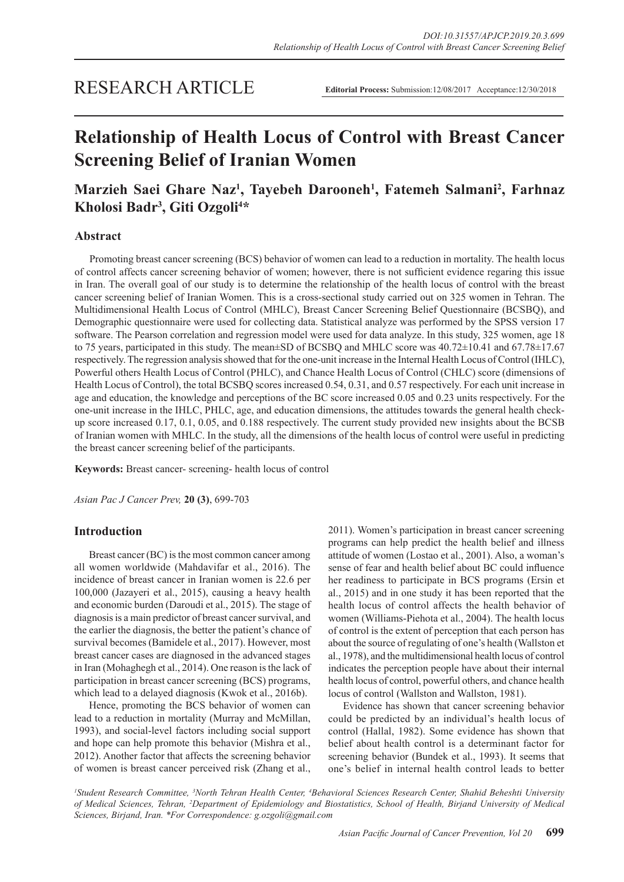# RESEARCH ARTICLE

**Editorial Process:** Submission:12/08/2017 Acceptance:12/30/2018

# **Relationship of Health Locus of Control with Breast Cancer Screening Belief of Iranian Women**

# **Marzieh Saei Ghare Naz1 , Tayebeh Darooneh1 , Fatemeh Salmani2 , Farhnaz Kholosi Badr3 , Giti Ozgoli4 \***

# **Abstract**

Promoting breast cancer screening (BCS) behavior of women can lead to a reduction in mortality. The health locus of control affects cancer screening behavior of women; however, there is not sufficient evidence regaring this issue in Iran. The overall goal of our study is to determine the relationship of the health locus of control with the breast cancer screening belief of Iranian Women. This is a cross-sectional study carried out on 325 women in Tehran. The Multidimensional Health Locus of Control (MHLC), Breast Cancer Screening Belief Questionnaire (BCSBQ), and Demographic questionnaire were used for collecting data. Statistical analyze was performed by the SPSS version 17 software. The Pearson correlation and regression model were used for data analyze. In this study, 325 women, age 18 to 75 years, participated in this study. The mean±SD of BCSBQ and MHLC score was 40.72±10.41 and 67.78±17.67 respectively. The regression analysis showed that for the one-unit increase in the Internal Health Locus of Control (IHLC), Powerful others Health Locus of Control (PHLC), and Chance Health Locus of Control (CHLC) score (dimensions of Health Locus of Control), the total BCSBQ scores increased 0.54, 0.31, and 0.57 respectively. For each unit increase in age and education, the knowledge and perceptions of the BC score increased 0.05 and 0.23 units respectively. For the one-unit increase in the IHLC, PHLC, age, and education dimensions, the attitudes towards the general health checkup score increased 0.17, 0.1, 0.05, and 0.188 respectively. The current study provided new insights about the BCSB of Iranian women with MHLC. In the study, all the dimensions of the health locus of control were useful in predicting the breast cancer screening belief of the participants.

**Keywords:** Breast cancer- screening- health locus of control

*Asian Pac J Cancer Prev,* **20 (3)**, 699-703

# **Introduction**

Breast cancer (BC) is the most common cancer among all women worldwide (Mahdavifar et al., 2016). The incidence of breast cancer in Iranian women is 22.6 per 100,000 (Jazayeri et al., 2015), causing a heavy health and economic burden (Daroudi et al., 2015). The stage of diagnosis is a main predictor of breast cancer survival, and the earlier the diagnosis, the better the patient's chance of survival becomes (Bamidele et al., 2017). However, most breast cancer cases are diagnosed in the advanced stages in Iran (Mohaghegh et al., 2014). One reason is the lack of participation in breast cancer screening (BCS) programs, which lead to a delayed diagnosis (Kwok et al., 2016b).

Hence, promoting the BCS behavior of women can lead to a reduction in mortality (Murray and McMillan, 1993), and social-level factors including social support and hope can help promote this behavior (Mishra et al., 2012). Another factor that affects the screening behavior of women is breast cancer perceived risk (Zhang et al.,

2011). Women's participation in breast cancer screening programs can help predict the health belief and illness attitude of women (Lostao et al., 2001). Also, a woman's sense of fear and health belief about BC could influence her readiness to participate in BCS programs (Ersin et al., 2015) and in one study it has been reported that the health locus of control affects the health behavior of women (Williams-Piehota et al., 2004). The health locus of control is the extent of perception that each person has about the source of regulating of one's health (Wallston et al., 1978), and the multidimensional health locus of control indicates the perception people have about their internal health locus of control, powerful others, and chance health locus of control (Wallston and Wallston, 1981).

Evidence has shown that cancer screening behavior could be predicted by an individual's health locus of control (Hallal, 1982). Some evidence has shown that belief about health control is a determinant factor for screening behavior (Bundek et al., 1993). It seems that one's belief in internal health control leads to better

*1 Student Research Committee, 3 North Tehran Health Center, 4 Behavioral Sciences Research Center, Shahid Beheshti University of Medical Sciences, Tehran, 2 Department of Epidemiology and Biostatistics, School of Health, Birjand University of Medical Sciences, Birjand, Iran. \*For Correspondence: g.ozgoli@gmail.com*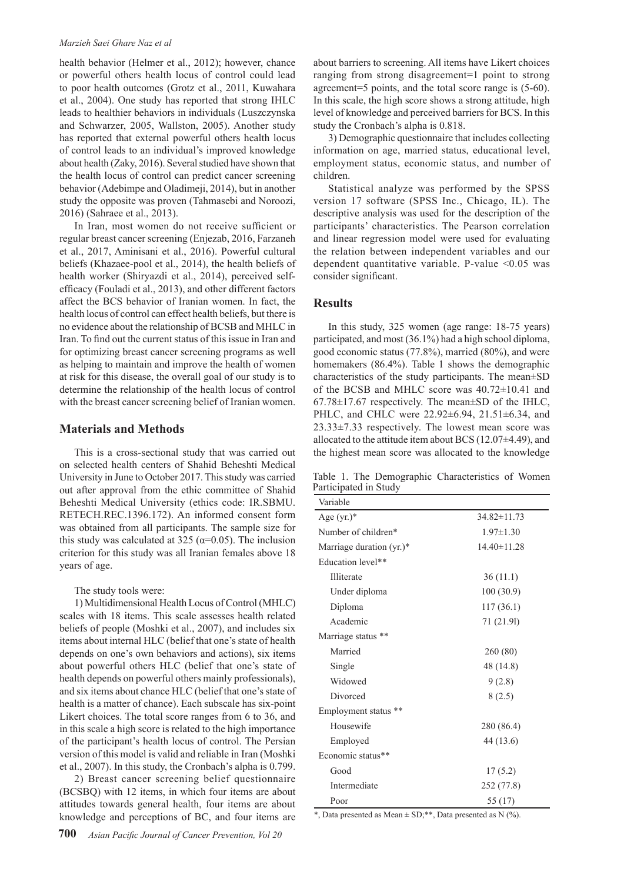#### *Marzieh Saei Ghare Naz et al*

health behavior (Helmer et al., 2012); however, chance or powerful others health locus of control could lead to poor health outcomes (Grotz et al., 2011, Kuwahara et al., 2004). One study has reported that strong IHLC leads to healthier behaviors in individuals (Luszczynska and Schwarzer, 2005, Wallston, 2005). Another study has reported that external powerful others health locus of control leads to an individual's improved knowledge about health (Zaky, 2016). Several studied have shown that the health locus of control can predict cancer screening behavior (Adebimpe and Oladimeji, 2014), but in another study the opposite was proven (Tahmasebi and Noroozi, 2016) (Sahraee et al., 2013).

In Iran, most women do not receive sufficient or regular breast cancer screening (Enjezab, 2016, Farzaneh et al., 2017, Aminisani et al., 2016). Powerful cultural beliefs (Khazaee-pool et al., 2014), the health beliefs of health worker (Shiryazdi et al., 2014), perceived selfefficacy (Fouladi et al., 2013), and other different factors affect the BCS behavior of Iranian women. In fact, the health locus of control can effect health beliefs, but there is no evidence about the relationship of BCSB and MHLC in Iran. To find out the current status of this issue in Iran and for optimizing breast cancer screening programs as well as helping to maintain and improve the health of women at risk for this disease, the overall goal of our study is to determine the relationship of the health locus of control with the breast cancer screening belief of Iranian women.

## **Materials and Methods**

This is a cross-sectional study that was carried out on selected health centers of Shahid Beheshti Medical University in June to October 2017. This study was carried out after approval from the ethic committee of Shahid Beheshti Medical University (ethics code: IR.SBMU. RETECH.REC.1396.172). An informed consent form was obtained from all participants. The sample size for this study was calculated at 325 ( $\alpha$ =0.05). The inclusion criterion for this study was all Iranian females above 18 years of age.

The study tools were:

1) Multidimensional Health Locus of Control (MHLC) scales with 18 items. This scale assesses health related beliefs of people (Moshki et al., 2007), and includes six items about internal HLC (belief that one's state of health depends on one's own behaviors and actions), six items about powerful others HLC (belief that one's state of health depends on powerful others mainly professionals), and six items about chance HLC (belief that one's state of health is a matter of chance). Each subscale has six-point Likert choices. The total score ranges from 6 to 36, and in this scale a high score is related to the high importance of the participant's health locus of control. The Persian version of this model is valid and reliable in Iran (Moshki et al., 2007). In this study, the Cronbach's alpha is 0.799.

2) Breast cancer screening belief questionnaire (BCSBQ) with 12 items, in which four items are about attitudes towards general health, four items are about knowledge and perceptions of BC, and four items are about barriers to screening. All items have Likert choices ranging from strong disagreement=1 point to strong agreement=5 points, and the total score range is (5-60). In this scale, the high score shows a strong attitude, high level of knowledge and perceived barriers for BCS. In this study the Cronbach's alpha is 0.818.

3) Demographic questionnaire that includes collecting information on age, married status, educational level, employment status, economic status, and number of children.

Statistical analyze was performed by the SPSS version 17 software (SPSS Inc., Chicago, IL). The descriptive analysis was used for the description of the participants' characteristics. The Pearson correlation and linear regression model were used for evaluating the relation between independent variables and our dependent quantitative variable. P-value <0.05 was consider significant.

## **Results**

In this study, 325 women (age range: 18-75 years) participated, and most (36.1%) had a high school diploma, good economic status (77.8%), married (80%), and were homemakers (86.4%). Table 1 shows the demographic characteristics of the study participants. The mean±SD of the BCSB and MHLC score was 40.72±10.41 and  $67.78 \pm 17.67$  respectively. The mean $\pm$ SD of the IHLC, PHLC, and CHLC were 22.92±6.94, 21.51±6.34, and 23.33±7.33 respectively. The lowest mean score was allocated to the attitude item about BCS  $(12.07\pm4.49)$ , and the highest mean score was allocated to the knowledge

Table 1. The Demographic Characteristics of Women Participated in Study

| Variable                               |                   |
|----------------------------------------|-------------------|
| Age $(yr.)^*$                          | $34.82 \pm 11.73$ |
| Number of children*<br>$1.97 \pm 1.30$ |                   |
| Marriage duration $(yr.)^*$            | $14.40 \pm 11.28$ |
| Education level**                      |                   |
| Illiterate                             | 36(11.1)          |
| Under diploma                          | 100(30.9)         |
| Diploma                                | 117(36.1)         |
| Academic                               | 71 (21.91)        |
| Marriage status **                     |                   |
| Married                                | 260 (80)          |
| Single                                 | 48 (14.8)         |
| Widowed                                | 9(2.8)            |
| Divorced                               | 8(2.5)            |
| Employment status **                   |                   |
| Housewife                              | 280 (86.4)        |
| Employed                               | 44 (13.6)         |
| Economic status**                      |                   |
| Good                                   | 17(5.2)           |
| Intermediate                           | 252 (77.8)        |
| Poor                                   | 55 (17)           |

\*, Data presented as Mean  $\pm$  SD;\*\*, Data presented as N (%).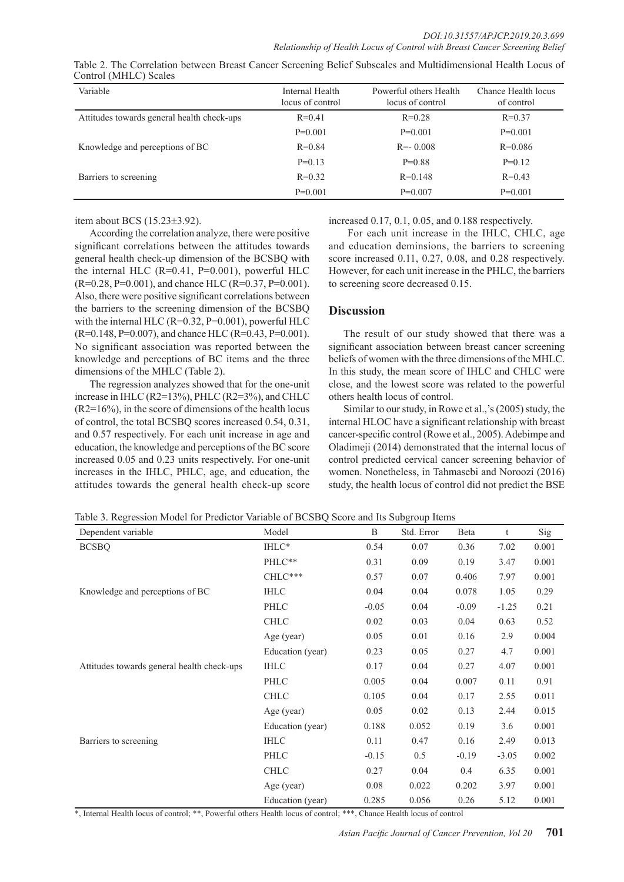| Variable                                   | Internal Health<br>locus of control | Powerful others Health<br>locus of control | Chance Health locus<br>of control |
|--------------------------------------------|-------------------------------------|--------------------------------------------|-----------------------------------|
| Attitudes towards general health check-ups | $R = 0.41$                          | $R=0.28$                                   | $R=0.37$                          |
|                                            | $P=0.001$                           | $P=0.001$                                  | $P=0.001$                         |
| Knowledge and perceptions of BC            | $R = 0.84$                          | $R = -0.008$                               | $R=0.086$                         |
|                                            | $P=0.13$                            | $P=0.88$                                   | $P=0.12$                          |
| Barriers to screening                      | $R = 0.32$                          | $R=0.148$                                  | $R=0.43$                          |
|                                            | $P=0.001$                           | $P=0.007$                                  | $P=0.001$                         |

| Table 2. The Correlation between Breast Cancer Screening Belief Subscales and Multidimensional Health Locus of |  |  |
|----------------------------------------------------------------------------------------------------------------|--|--|
| Control (MHLC) Scales                                                                                          |  |  |

item about BCS (15.23±3.92).

According the correlation analyze, there were positive significant correlations between the attitudes towards general health check-up dimension of the BCSBQ with the internal HLC  $(R=0.41, P=0.001)$ , powerful HLC  $(R=0.28, P=0.001)$ , and chance HLC  $(R=0.37, P=0.001)$ . Also, there were positive significant correlations between the barriers to the screening dimension of the BCSBQ with the internal HLC (R=0.32, P=0.001), powerful HLC (R=0.148, P=0.007), and chance HLC (R=0.43, P=0.001). No significant association was reported between the knowledge and perceptions of BC items and the three dimensions of the MHLC (Table 2).

The regression analyzes showed that for the one-unit increase in IHLC (R2=13%), PHLC (R2=3%), and CHLC (R2=16%), in the score of dimensions of the health locus of control, the total BCSBQ scores increased 0.54, 0.31, and 0.57 respectively. For each unit increase in age and education, the knowledge and perceptions of the BC score increased 0.05 and 0.23 units respectively. For one-unit increases in the IHLC, PHLC, age, and education, the attitudes towards the general health check-up score increased 0.17, 0.1, 0.05, and 0.188 respectively.

 For each unit increase in the IHLC, CHLC, age and education deminsions, the barriers to screening score increased 0.11, 0.27, 0.08, and 0.28 respectively. However, for each unit increase in the PHLC, the barriers to screening score decreased 0.15.

# **Discussion**

The result of our study showed that there was a significant association between breast cancer screening beliefs of women with the three dimensions of the MHLC. In this study, the mean score of IHLC and CHLC were close, and the lowest score was related to the powerful others health locus of control.

Similar to our study, in Rowe et al.,'s (2005) study, the internal HLOC have a significant relationship with breast cancer-specific control (Rowe et al., 2005). Adebimpe and Oladimeji (2014) demonstrated that the internal locus of control predicted cervical cancer screening behavior of women. Nonetheless, in Tahmasebi and Noroozi (2016) study, the health locus of control did not predict the BSE

Table 3. Regression Model for Predictor Variable of BCSBQ Score and Its Subgroup Items

| Dependent variable                         | Model            | B       | Std. Error | Beta    | t       | Sig   |
|--------------------------------------------|------------------|---------|------------|---------|---------|-------|
| <b>BCSBQ</b>                               | IHLC*            | 0.54    | 0.07       | 0.36    | 7.02    | 0.001 |
|                                            | PHLC**           | 0.31    | 0.09       | 0.19    | 3.47    | 0.001 |
|                                            | CHLC***          | 0.57    | 0.07       | 0.406   | 7.97    | 0.001 |
| Knowledge and perceptions of BC            | <b>IHLC</b>      | 0.04    | 0.04       | 0.078   | 1.05    | 0.29  |
|                                            | PHLC             | $-0.05$ | 0.04       | $-0.09$ | $-1.25$ | 0.21  |
|                                            | <b>CHLC</b>      | 0.02    | 0.03       | 0.04    | 0.63    | 0.52  |
|                                            | Age (year)       | 0.05    | 0.01       | 0.16    | 2.9     | 0.004 |
|                                            | Education (year) | 0.23    | 0.05       | 0.27    | 4.7     | 0.001 |
| Attitudes towards general health check-ups | <b>IHLC</b>      | 0.17    | 0.04       | 0.27    | 4.07    | 0.001 |
|                                            | PHLC             | 0.005   | 0.04       | 0.007   | 0.11    | 0.91  |
|                                            | <b>CHLC</b>      | 0.105   | 0.04       | 0.17    | 2.55    | 0.011 |
|                                            | Age (year)       | 0.05    | 0.02       | 0.13    | 2.44    | 0.015 |
|                                            | Education (year) | 0.188   | 0.052      | 0.19    | 3.6     | 0.001 |
| Barriers to screening                      | <b>IHLC</b>      | 0.11    | 0.47       | 0.16    | 2.49    | 0.013 |
|                                            | PHLC             | $-0.15$ | 0.5        | $-0.19$ | $-3.05$ | 0.002 |
|                                            | <b>CHLC</b>      | 0.27    | 0.04       | 0.4     | 6.35    | 0.001 |
|                                            | Age (year)       | 0.08    | 0.022      | 0.202   | 3.97    | 0.001 |
|                                            | Education (year) | 0.285   | 0.056      | 0.26    | 5.12    | 0.001 |

\*, Internal Health locus of control; \*\*, Powerful others Health locus of control; \*\*\*, Chance Health locus of control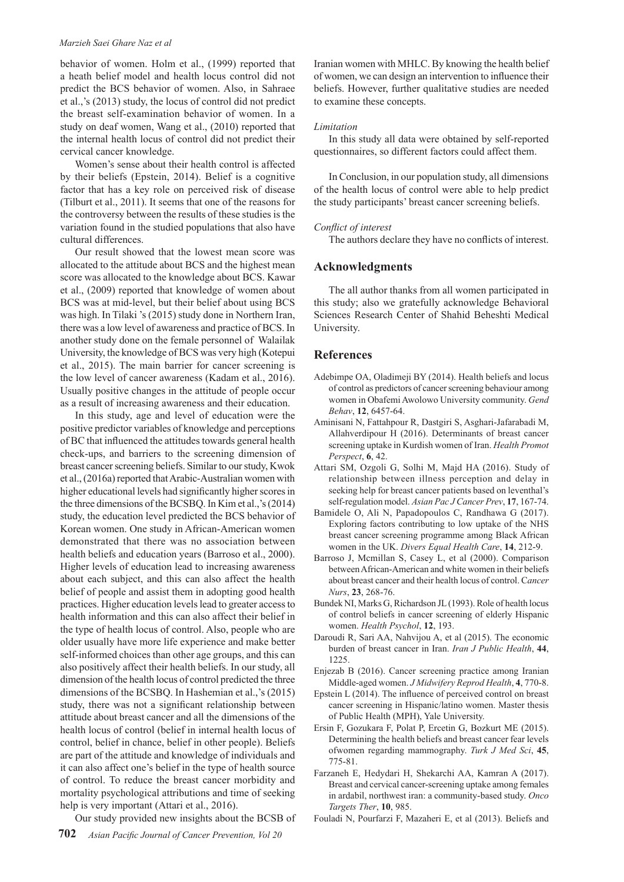#### *Marzieh Saei Ghare Naz et al*

behavior of women. Holm et al., (1999) reported that a heath belief model and health locus control did not predict the BCS behavior of women. Also, in Sahraee et al.,'s (2013) study, the locus of control did not predict the breast self-examination behavior of women. In a study on deaf women, Wang et al., (2010) reported that the internal health locus of control did not predict their cervical cancer knowledge.

Women's sense about their health control is affected by their beliefs (Epstein, 2014). Belief is a cognitive factor that has a key role on perceived risk of disease (Tilburt et al., 2011). It seems that one of the reasons for the controversy between the results of these studies is the variation found in the studied populations that also have cultural differences.

Our result showed that the lowest mean score was allocated to the attitude about BCS and the highest mean score was allocated to the knowledge about BCS. Kawar et al., (2009) reported that knowledge of women about BCS was at mid-level, but their belief about using BCS was high. In Tilaki 's (2015) study done in Northern Iran, there was a low level of awareness and practice of BCS. In another study done on the female personnel of Walailak University, the knowledge of BCS was very high (Kotepui et al., 2015). The main barrier for cancer screening is the low level of cancer awareness (Kadam et al., 2016). Usually positive changes in the attitude of people occur as a result of increasing awareness and their education.

In this study, age and level of education were the positive predictor variables of knowledge and perceptions of BC that influenced the attitudes towards general health check-ups, and barriers to the screening dimension of breast cancer screening beliefs. Similar to our study, Kwok et al., (2016a) reported that Arabic-Australian women with higher educational levels had significantly higher scores in the three dimensions of the BCSBQ. In Kim et al.,'s (2014) study, the education level predicted the BCS behavior of Korean women. One study in African-American women demonstrated that there was no association between health beliefs and education years (Barroso et al., 2000). Higher levels of education lead to increasing awareness about each subject, and this can also affect the health belief of people and assist them in adopting good health practices. Higher education levels lead to greater access to health information and this can also affect their belief in the type of health locus of control. Also, people who are older usually have more life experience and make better self-informed choices than other age groups, and this can also positively affect their health beliefs. In our study, all dimension of the health locus of control predicted the three dimensions of the BCSBQ. In Hashemian et al.,'s (2015) study, there was not a significant relationship between attitude about breast cancer and all the dimensions of the health locus of control (belief in internal health locus of control, belief in chance, belief in other people). Beliefs are part of the attitude and knowledge of individuals and it can also affect one's belief in the type of health source of control. To reduce the breast cancer morbidity and mortality psychological attributions and time of seeking help is very important (Attari et al., 2016).

Our study provided new insights about the BCSB of

Iranian women with MHLC. By knowing the health belief of women, we can design an intervention to influence their beliefs. However, further qualitative studies are needed to examine these concepts.

#### *Limitation*

In this study all data were obtained by self-reported questionnaires, so different factors could affect them.

In Conclusion, in our population study, all dimensions of the health locus of control were able to help predict the study participants' breast cancer screening beliefs.

#### *Conflict of interest*

The authors declare they have no conflicts of interest.

### **Acknowledgments**

The all author thanks from all women participated in this study; also we gratefully acknowledge Behavioral Sciences Research Center of Shahid Beheshti Medical University.

#### **References**

- Adebimpe OA, Oladimeji BY (2014). Health beliefs and locus of control as predictors of cancer screening behaviour among women in Obafemi Awolowo University community. *Gend Behav*, **12**, 6457-64.
- Aminisani N, Fattahpour R, Dastgiri S, Asghari-Jafarabadi M, Allahverdipour H (2016). Determinants of breast cancer screening uptake in Kurdish women of Iran. *Health Promot Perspect*, **6**, 42.
- Attari SM, Ozgoli G, Solhi M, Majd HA (2016). Study of relationship between illness perception and delay in seeking help for breast cancer patients based on leventhal's self-regulation model. *Asian Pac J Cancer Prev*, **17**, 167-74.
- Bamidele O, Ali N, Papadopoulos C, Randhawa G (2017). Exploring factors contributing to low uptake of the NHS breast cancer screening programme among Black African women in the UK. *Divers Equal Health Care*, **14**, 212-9.
- Barroso J, Mcmillan S, Casey L, et al (2000). Comparison between African-American and white women in their beliefs about breast cancer and their health locus of control. C*ancer Nurs*, **23**, 268-76.
- Bundek NI, Marks G, Richardson JL (1993). Role of health locus of control beliefs in cancer screening of elderly Hispanic women. *Health Psychol*, **12**, 193.
- Daroudi R, Sari AA, Nahvijou A, et al (2015). The economic burden of breast cancer in Iran. *Iran J Public Health*, **44**, 1225.
- Enjezab B (2016). Cancer screening practice among Iranian Middle-aged women. *J Midwifery Reprod Health*, **4**, 770-8.
- Epstein L (2014). The influence of perceived control on breast cancer screening in Hispanic/latino women. Master thesis of Public Health (MPH), Yale University.
- Ersin F, Gozukara F, Polat P, Ercetin G, Bozkurt ME (2015). Determining the health beliefs and breast cancer fear levels ofwomen regarding mammography. *Turk J Med Sci*, **45**, 775-81.
- Farzaneh E, Hedydari H, Shekarchi AA, Kamran A (2017). Breast and cervical cancer-screening uptake among females in ardabil, northwest iran: a community-based study. *Onco Targets Ther*, **10**, 985.

Fouladi N, Pourfarzi F, Mazaheri E, et al (2013). Beliefs and